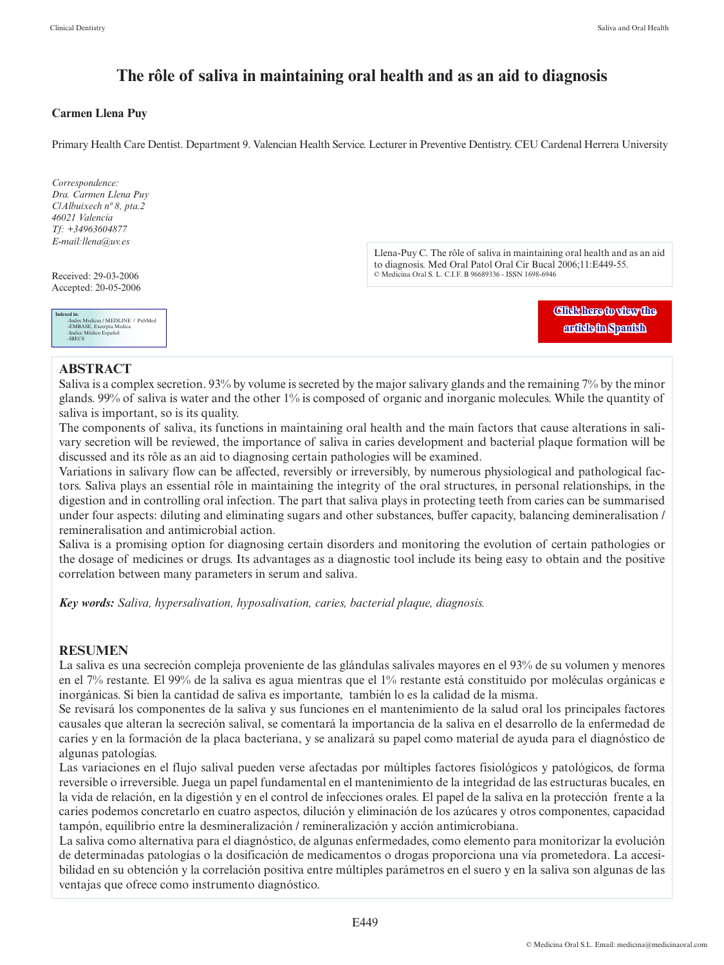# **The rôle of saliva in maintaining oral health and as an aid to diagnosis**

#### **Carmen Llena Puy**

Primary Health Care Dentist. Department 9. Valencian Health Service. Lecturer in Preventive Dentistry. CEU Cardenal Herrera University



#### **ABSTRACT**

Saliva is a complex secretion. 93% by volume is secreted by the major salivary glands and the remaining 7% by the minor glands. 99% of saliva is water and the other 1% is composed of organic and inorganic molecules. While the quantity of saliva is important, so is its quality.

The components of saliva, its functions in maintaining oral health and the main factors that cause alterations in salivary secretion will be reviewed, the importance of saliva in caries development and bacterial plaque formation will be discussed and its rôle as an aid to diagnosing certain pathologies will be examined.

Variations in salivary flow can be affected, reversibly or irreversibly, by numerous physiological and pathological factors. Saliva plays an essential rôle in maintaining the integrity of the oral structures, in personal relationships, in the digestion and in controlling oral infection. The part that saliva plays in protecting teeth from caries can be summarised under four aspects: diluting and eliminating sugars and other substances, buffer capacity, balancing demineralisation / remineralisation and antimicrobial action.

Saliva is a promising option for diagnosing certain disorders and monitoring the evolution of certain pathologies or the dosage of medicines or drugs. Its advantages as a diagnostic tool include its being easy to obtain and the positive correlation between many parameters in serum and saliva.

*Key words: Saliva, hypersalivation, hyposalivation, caries, bacterial plaque, diagnosis.*

### **RESUMEN**

La saliva es una secreción compleja proveniente de las glándulas salivales mayores en el 93% de su volumen y menores en el 7% restante. El 99% de la saliva es agua mientras que el 1% restante está constituido por moléculas orgánicas e inorgánicas. Si bien la cantidad de saliva es importante, también lo es la calidad de la misma.

Se revisará los componentes de la saliva y sus funciones en el mantenimiento de la salud oral los principales factores causales que alteran la secreción salival, se comentará la importancia de la saliva en el desarrollo de la enfermedad de caries y en la formación de la placa bacteriana, y se analizará su papel como material de ayuda para el diagnóstico de algunas patologías.

Las variaciones en el flujo salival pueden verse afectadas por múltiples factores fisiológicos y patológicos, de forma reversible o irreversible. Juega un papel fundamental en el mantenimiento de la integridad de las estructuras bucales, en la vida de relación, en la digestión y en el control de infecciones orales. El papel de la saliva en la protección frente a la caries podemos concretarlo en cuatro aspectos, dilución y eliminación de los azúcares y otros componentes, capacidad tampón, equilibrio entre la desmineralización / remineralización y acción antimicrobiana.

La saliva como alternativa para el diagnóstico, de algunas enfermedades, como elemento para monitorizar la evolución de determinadas patologías o la dosificación de medicamentos o drogas proporciona una vía prometedora. La accesibilidad en su obtención y la correlación positiva entre múltiples parámetros en el suero y en la saliva son algunas de las ventajas que ofrece como instrumento diagnóstico.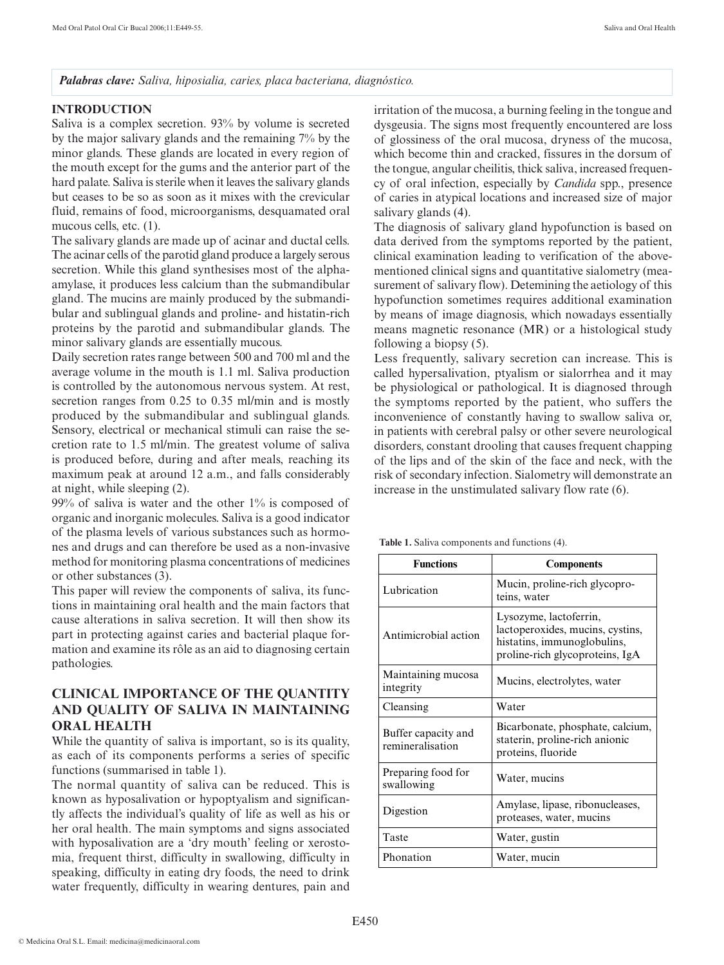*Palabras clave: Saliva, hiposialia, caries, placa bacteriana, diagnóstico.*

### **INTRODUCTION**

Saliva is a complex secretion. 93% by volume is secreted by the major salivary glands and the remaining 7% by the minor glands. These glands are located in every region of the mouth except for the gums and the anterior part of the hard palate. Saliva is sterile when it leaves the salivary glands but ceases to be so as soon as it mixes with the crevicular fluid, remains of food, microorganisms, desquamated oral mucous cells, etc. (1).

The salivary glands are made up of acinar and ductal cells. The acinar cells of the parotid gland produce a largely serous secretion. While this gland synthesises most of the alphaamylase, it produces less calcium than the submandibular gland. The mucins are mainly produced by the submandibular and sublingual glands and proline- and histatin-rich proteins by the parotid and submandibular glands. The minor salivary glands are essentially mucous.

Daily secretion rates range between 500 and 700 ml and the average volume in the mouth is 1.1 ml. Saliva production is controlled by the autonomous nervous system. At rest, secretion ranges from 0.25 to 0.35 ml/min and is mostly produced by the submandibular and sublingual glands. Sensory, electrical or mechanical stimuli can raise the secretion rate to 1.5 ml/min. The greatest volume of saliva is produced before, during and after meals, reaching its maximum peak at around 12 a.m., and falls considerably at night, while sleeping (2).

99% of saliva is water and the other 1% is composed of organic and inorganic molecules. Saliva is a good indicator of the plasma levels of various substances such as hormones and drugs and can therefore be used as a non-invasive method for monitoring plasma concentrations of medicines or other substances (3).

This paper will review the components of saliva, its functions in maintaining oral health and the main factors that cause alterations in saliva secretion. It will then show its part in protecting against caries and bacterial plaque formation and examine its rôle as an aid to diagnosing certain pathologies.

# **CLINICAL IMPORTANCE OF THE QUANTITY AND QUALITY OF SALIVA IN MAINTAINING ORAL HEALTH**

While the quantity of saliva is important, so is its quality, as each of its components performs a series of specific functions (summarised in table 1).

The normal quantity of saliva can be reduced. This is known as hyposalivation or hypoptyalism and significantly affects the individual's quality of life as well as his or her oral health. The main symptoms and signs associated with hyposalivation are a 'dry mouth' feeling or xerostomia, frequent thirst, difficulty in swallowing, difficulty in speaking, difficulty in eating dry foods, the need to drink water frequently, difficulty in wearing dentures, pain and

irritation of the mucosa, a burning feeling in the tongue and dysgeusia. The signs most frequently encountered are loss of glossiness of the oral mucosa, dryness of the mucosa, which become thin and cracked, fissures in the dorsum of the tongue, angular cheilitis, thick saliva, increased frequency of oral infection, especially by *Candida* spp., presence of caries in atypical locations and increased size of major salivary glands (4).

The diagnosis of salivary gland hypofunction is based on data derived from the symptoms reported by the patient, clinical examination leading to verification of the abovementioned clinical signs and quantitative sialometry (measurement of salivary flow). Detemining the aetiology of this hypofunction sometimes requires additional examination by means of image diagnosis, which nowadays essentially means magnetic resonance (MR) or a histological study following a biopsy (5).

Less frequently, salivary secretion can increase. This is called hypersalivation, ptyalism or sialorrhea and it may be physiological or pathological. It is diagnosed through the symptoms reported by the patient, who suffers the inconvenience of constantly having to swallow saliva or, in patients with cerebral palsy or other severe neurological disorders, constant drooling that causes frequent chapping of the lips and of the skin of the face and neck, with the risk of secondary infection. Sialometry will demonstrate an increase in the unstimulated salivary flow rate (6).

|  |  | Table 1. Saliva components and functions (4). |  |  |
|--|--|-----------------------------------------------|--|--|
|--|--|-----------------------------------------------|--|--|

| <b>Functions</b>                        | <b>Components</b>                                                                                                            |  |
|-----------------------------------------|------------------------------------------------------------------------------------------------------------------------------|--|
| Lubrication                             | Mucin, proline-rich glycopro-<br>teins, water                                                                                |  |
| Antimicrobial action                    | Lysozyme, lactoferrin,<br>lactoperoxides, mucins, cystins,<br>histatins, immunoglobulins,<br>proline-rich glycoproteins, IgA |  |
| Maintaining mucosa<br>integrity         | Mucins, electrolytes, water                                                                                                  |  |
| Cleansing                               | Water                                                                                                                        |  |
| Buffer capacity and<br>remineralisation | Bicarbonate, phosphate, calcium,<br>staterin, proline-rich anionic<br>proteins, fluoride                                     |  |
| Preparing food for<br>swallowing        | Water, mucins                                                                                                                |  |
| Digestion                               | Amylase, lipase, ribonucleases,<br>proteases, water, mucins                                                                  |  |
| Taste                                   | Water, gustin                                                                                                                |  |
| Phonation                               | Water, mucin                                                                                                                 |  |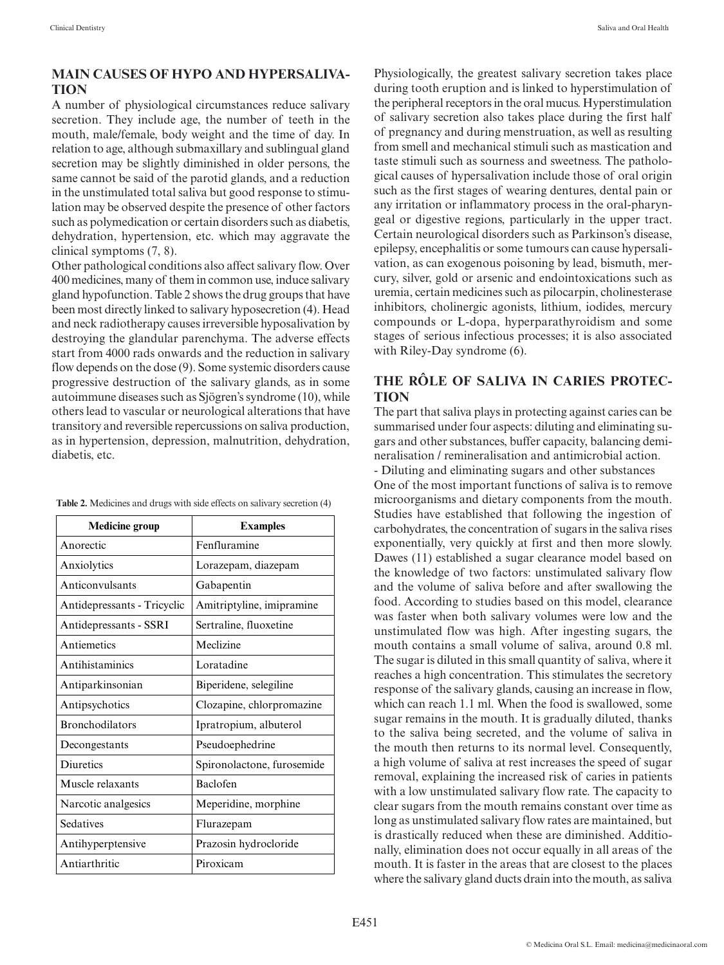### **MAIN CAUSES OF HYPO AND HYPERSALIVA-TION**

A number of physiological circumstances reduce salivary secretion. They include age, the number of teeth in the mouth, male/female, body weight and the time of day. In relation to age, although submaxillary and sublingual gland secretion may be slightly diminished in older persons, the same cannot be said of the parotid glands, and a reduction in the unstimulated total saliva but good response to stimulation may be observed despite the presence of other factors such as polymedication or certain disorders such as diabetis, dehydration, hypertension, etc. which may aggravate the clinical symptoms (7, 8).

Other pathological conditions also affect salivary flow. Over 400 medicines, many of them in common use, induce salivary gland hypofunction. Table 2 shows the drug groups that have been most directly linked to salivary hyposecretion (4). Head and neck radiotherapy causes irreversible hyposalivation by destroying the glandular parenchyma. The adverse effects start from 4000 rads onwards and the reduction in salivary flow depends on the dose (9). Some systemic disorders cause progressive destruction of the salivary glands, as in some autoimmune diseases such as Sjögren's syndrome (10), while others lead to vascular or neurological alterations that have transitory and reversible repercussions on saliva production, as in hypertension, depression, malnutrition, dehydration, diabetis, etc.

| <b>Medicine group</b>       | <b>Examples</b>            |
|-----------------------------|----------------------------|
| Anorectic                   | Fenfluramine               |
| Anxiolytics                 | Lorazepam, diazepam        |
| Anticonvulsants             | Gabapentin                 |
| Antidepressants - Tricyclic | Amitriptyline, imipramine  |
| Antidepressants - SSRI      | Sertraline, fluoxetine     |
| Antiemetics                 | Meclizine                  |
| Antihistaminics             | Loratadine                 |
| Antiparkinsonian            | Biperidene, selegiline     |
| Antipsychotics              | Clozapine, chlorpromazine  |
| <b>Bronchodilators</b>      | Ipratropium, albuterol     |
| Decongestants               | Pseudoephedrine            |
| <b>Diuretics</b>            | Spironolactone, furosemide |
| Muscle relaxants            | <b>Baclofen</b>            |
| Narcotic analgesics         | Meperidine, morphine       |
| Sedatives                   | Flurazepam                 |
| Antihyperptensive           | Prazosin hydrocloride      |
| Antiarthritic               | Piroxicam                  |

**Table 2.** Medicines and drugs with side effects on salivary secretion (4)

Physiologically, the greatest salivary secretion takes place during tooth eruption and is linked to hyperstimulation of the peripheral receptors in the oral mucus. Hyperstimulation of salivary secretion also takes place during the first half of pregnancy and during menstruation, as well as resulting from smell and mechanical stimuli such as mastication and taste stimuli such as sourness and sweetness. The pathological causes of hypersalivation include those of oral origin such as the first stages of wearing dentures, dental pain or any irritation or inflammatory process in the oral-pharyngeal or digestive regions, particularly in the upper tract. Certain neurological disorders such as Parkinson's disease, epilepsy, encephalitis or some tumours can cause hypersalivation, as can exogenous poisoning by lead, bismuth, mercury, silver, gold or arsenic and endointoxications such as uremia, certain medicines such as pilocarpin, cholinesterase inhibitors, cholinergic agonists, lithium, iodides, mercury compounds or L-dopa, hyperparathyroidism and some stages of serious infectious processes; it is also associated with Riley-Day syndrome (6).

# **THE RÔLE OF SALIVA IN CARIES PROTEC-TION**

The part that saliva plays in protecting against caries can be summarised under four aspects: diluting and eliminating sugars and other substances, buffer capacity, balancing demineralisation / remineralisation and antimicrobial action.

- Diluting and eliminating sugars and other substances One of the most important functions of saliva is to remove microorganisms and dietary components from the mouth. Studies have established that following the ingestion of carbohydrates, the concentration of sugars in the saliva rises exponentially, very quickly at first and then more slowly. Dawes (11) established a sugar clearance model based on the knowledge of two factors: unstimulated salivary flow and the volume of saliva before and after swallowing the food. According to studies based on this model, clearance was faster when both salivary volumes were low and the unstimulated flow was high. After ingesting sugars, the mouth contains a small volume of saliva, around 0.8 ml. The sugar is diluted in this small quantity of saliva, where it reaches a high concentration. This stimulates the secretory response of the salivary glands, causing an increase in flow, which can reach 1.1 ml. When the food is swallowed, some sugar remains in the mouth. It is gradually diluted, thanks to the saliva being secreted, and the volume of saliva in the mouth then returns to its normal level. Consequently, a high volume of saliva at rest increases the speed of sugar removal, explaining the increased risk of caries in patients with a low unstimulated salivary flow rate. The capacity to clear sugars from the mouth remains constant over time as long as unstimulated salivary flow rates are maintained, but is drastically reduced when these are diminished. Additionally, elimination does not occur equally in all areas of the mouth. It is faster in the areas that are closest to the places where the salivary gland ducts drain into the mouth, as saliva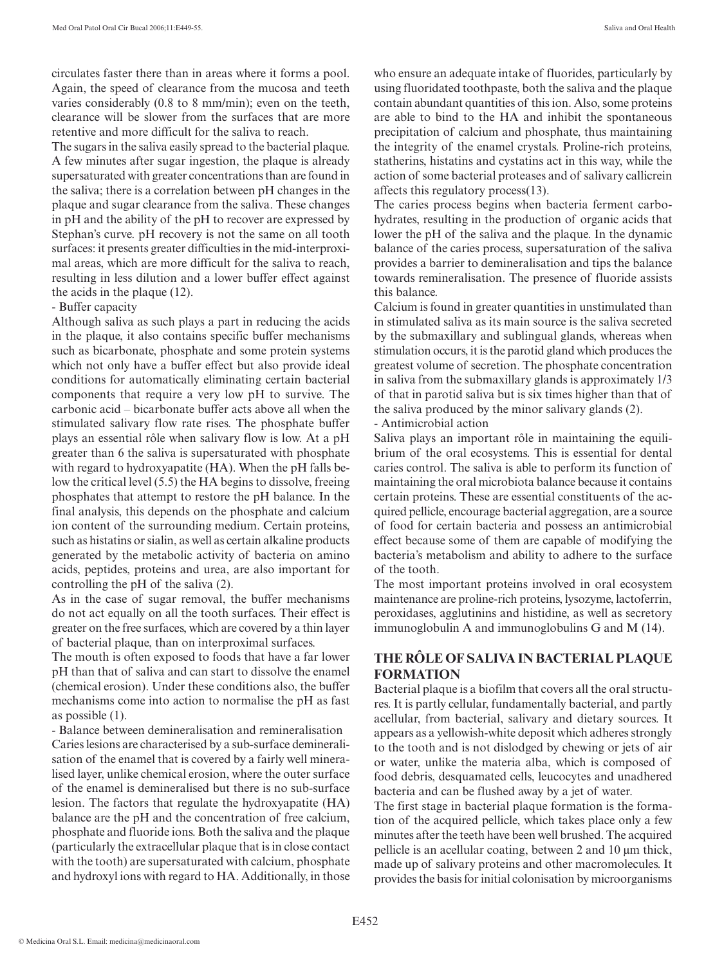circulates faster there than in areas where it forms a pool. Again, the speed of clearance from the mucosa and teeth varies considerably (0.8 to 8 mm/min); even on the teeth, clearance will be slower from the surfaces that are more retentive and more difficult for the saliva to reach.

The sugars in the saliva easily spread to the bacterial plaque. A few minutes after sugar ingestion, the plaque is already supersaturated with greater concentrations than are found in the saliva; there is a correlation between pH changes in the plaque and sugar clearance from the saliva. These changes in pH and the ability of the pH to recover are expressed by Stephan's curve. pH recovery is not the same on all tooth surfaces: it presents greater difficulties in the mid-interproximal areas, which are more difficult for the saliva to reach, resulting in less dilution and a lower buffer effect against the acids in the plaque (12).

#### - Buffer capacity

Although saliva as such plays a part in reducing the acids in the plaque, it also contains specific buffer mechanisms such as bicarbonate, phosphate and some protein systems which not only have a buffer effect but also provide ideal conditions for automatically eliminating certain bacterial components that require a very low pH to survive. The carbonic acid – bicarbonate buffer acts above all when the stimulated salivary flow rate rises. The phosphate buffer plays an essential rôle when salivary flow is low. At a pH greater than 6 the saliva is supersaturated with phosphate with regard to hydroxyapatite (HA). When the pH falls below the critical level (5.5) the HA begins to dissolve, freeing phosphates that attempt to restore the pH balance. In the final analysis, this depends on the phosphate and calcium ion content of the surrounding medium. Certain proteins, such as histatins or sialin, as well as certain alkaline products generated by the metabolic activity of bacteria on amino acids, peptides, proteins and urea, are also important for controlling the pH of the saliva (2).

As in the case of sugar removal, the buffer mechanisms do not act equally on all the tooth surfaces. Their effect is greater on the free surfaces, which are covered by a thin layer of bacterial plaque, than on interproximal surfaces.

The mouth is often exposed to foods that have a far lower pH than that of saliva and can start to dissolve the enamel (chemical erosion). Under these conditions also, the buffer mechanisms come into action to normalise the pH as fast as possible (1).

- Balance between demineralisation and remineralisation Caries lesions are characterised by a sub-surface demineralisation of the enamel that is covered by a fairly well mineralised layer, unlike chemical erosion, where the outer surface of the enamel is demineralised but there is no sub-surface lesion. The factors that regulate the hydroxyapatite (HA) balance are the pH and the concentration of free calcium, phosphate and fluoride ions. Both the saliva and the plaque (particularly the extracellular plaque that is in close contact with the tooth) are supersaturated with calcium, phosphate and hydroxyl ions with regard to HA. Additionally, in those who ensure an adequate intake of fluorides, particularly by using fluoridated toothpaste, both the saliva and the plaque contain abundant quantities of this ion. Also, some proteins are able to bind to the HA and inhibit the spontaneous precipitation of calcium and phosphate, thus maintaining the integrity of the enamel crystals. Proline-rich proteins, statherins, histatins and cystatins act in this way, while the action of some bacterial proteases and of salivary callicrein affects this regulatory process(13).

The caries process begins when bacteria ferment carbohydrates, resulting in the production of organic acids that lower the pH of the saliva and the plaque. In the dynamic balance of the caries process, supersaturation of the saliva provides a barrier to demineralisation and tips the balance towards remineralisation. The presence of fluoride assists this balance.

Calcium is found in greater quantities in unstimulated than in stimulated saliva as its main source is the saliva secreted by the submaxillary and sublingual glands, whereas when stimulation occurs, it is the parotid gland which produces the greatest volume of secretion. The phosphate concentration in saliva from the submaxillary glands is approximately 1/3 of that in parotid saliva but is six times higher than that of the saliva produced by the minor salivary glands (2).

- Antimicrobial action

Saliva plays an important rôle in maintaining the equilibrium of the oral ecosystems. This is essential for dental caries control. The saliva is able to perform its function of maintaining the oral microbiota balance because it contains certain proteins. These are essential constituents of the acquired pellicle, encourage bacterial aggregation, are a source of food for certain bacteria and possess an antimicrobial effect because some of them are capable of modifying the bacteria's metabolism and ability to adhere to the surface of the tooth.

The most important proteins involved in oral ecosystem maintenance are proline-rich proteins, lysozyme, lactoferrin, peroxidases, agglutinins and histidine, as well as secretory immunoglobulin A and immunoglobulins G and M (14).

# **THE RÔLE OF SALIVA IN BACTERIAL PLAQUE FORMATION**

Bacterial plaque is a biofilm that covers all the oral structures. It is partly cellular, fundamentally bacterial, and partly acellular, from bacterial, salivary and dietary sources. It appears as a yellowish-white deposit which adheres strongly to the tooth and is not dislodged by chewing or jets of air or water, unlike the materia alba, which is composed of food debris, desquamated cells, leucocytes and unadhered bacteria and can be flushed away by a jet of water.

The first stage in bacterial plaque formation is the formation of the acquired pellicle, which takes place only a few minutes after the teeth have been well brushed. The acquired pellicle is an acellular coating, between 2 and 10 µm thick, made up of salivary proteins and other macromolecules. It provides the basis for initial colonisation by microorganisms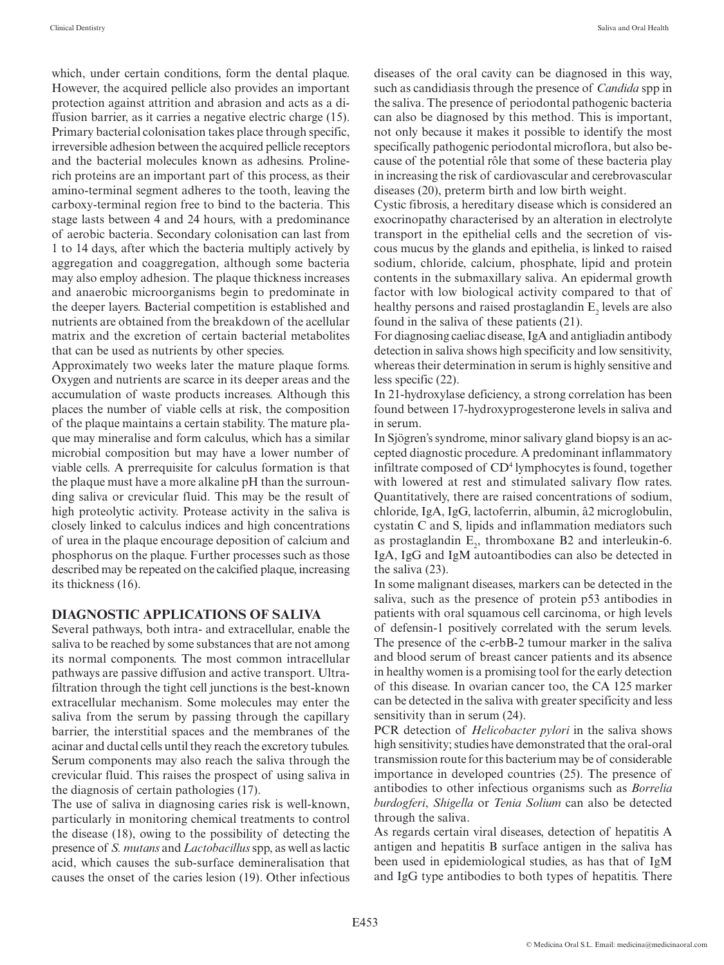which, under certain conditions, form the dental plaque. However, the acquired pellicle also provides an important protection against attrition and abrasion and acts as a diffusion barrier, as it carries a negative electric charge (15). Primary bacterial colonisation takes place through specific, irreversible adhesion between the acquired pellicle receptors and the bacterial molecules known as adhesins. Prolinerich proteins are an important part of this process, as their amino-terminal segment adheres to the tooth, leaving the carboxy-terminal region free to bind to the bacteria. This stage lasts between 4 and 24 hours, with a predominance of aerobic bacteria. Secondary colonisation can last from 1 to 14 days, after which the bacteria multiply actively by aggregation and coaggregation, although some bacteria may also employ adhesion. The plaque thickness increases and anaerobic microorganisms begin to predominate in the deeper layers. Bacterial competition is established and nutrients are obtained from the breakdown of the acellular matrix and the excretion of certain bacterial metabolites that can be used as nutrients by other species.

Approximately two weeks later the mature plaque forms. Oxygen and nutrients are scarce in its deeper areas and the accumulation of waste products increases. Although this places the number of viable cells at risk, the composition of the plaque maintains a certain stability. The mature plaque may mineralise and form calculus, which has a similar microbial composition but may have a lower number of viable cells. A prerrequisite for calculus formation is that the plaque must have a more alkaline pH than the surrounding saliva or crevicular fluid. This may be the result of high proteolytic activity. Protease activity in the saliva is closely linked to calculus indices and high concentrations of urea in the plaque encourage deposition of calcium and phosphorus on the plaque. Further processes such as those described may be repeated on the calcified plaque, increasing its thickness (16).

#### **DIAGNOSTIC APPLICATIONS OF SALIVA**

Several pathways, both intra- and extracellular, enable the saliva to be reached by some substances that are not among its normal components. The most common intracellular pathways are passive diffusion and active transport. Ultrafiltration through the tight cell junctions is the best-known extracellular mechanism. Some molecules may enter the saliva from the serum by passing through the capillary barrier, the interstitial spaces and the membranes of the acinar and ductal cells until they reach the excretory tubules. Serum components may also reach the saliva through the crevicular fluid. This raises the prospect of using saliva in the diagnosis of certain pathologies (17).

The use of saliva in diagnosing caries risk is well-known, particularly in monitoring chemical treatments to control the disease (18), owing to the possibility of detecting the presence of *S. mutans* and *Lactobacillus* spp, as well as lactic acid, which causes the sub-surface demineralisation that causes the onset of the caries lesion (19). Other infectious diseases of the oral cavity can be diagnosed in this way, such as candidiasis through the presence of *Candida* spp in the saliva. The presence of periodontal pathogenic bacteria can also be diagnosed by this method. This is important, not only because it makes it possible to identify the most specifically pathogenic periodontal microflora, but also because of the potential rôle that some of these bacteria play in increasing the risk of cardiovascular and cerebrovascular diseases (20), preterm birth and low birth weight.

Cystic fibrosis, a hereditary disease which is considered an exocrinopathy characterised by an alteration in electrolyte transport in the epithelial cells and the secretion of viscous mucus by the glands and epithelia, is linked to raised sodium, chloride, calcium, phosphate, lipid and protein contents in the submaxillary saliva. An epidermal growth factor with low biological activity compared to that of healthy persons and raised prostaglandin  $E_2$  levels are also found in the saliva of these patients (21).

For diagnosing caeliac disease, IgA and antigliadin antibody detection in saliva shows high specificity and low sensitivity, whereas their determination in serum is highly sensitive and less specific (22).

In 21-hydroxylase deficiency, a strong correlation has been found between 17-hydroxyprogesterone levels in saliva and in serum.

In Sjögren's syndrome, minor salivary gland biopsy is an accepted diagnostic procedure. A predominant inflammatory infiltrate composed of CD4 lymphocytes is found, together with lowered at rest and stimulated salivary flow rates. Quantitatively, there are raised concentrations of sodium, chloride, IgA, IgG, lactoferrin, albumin, â2 microglobulin, cystatin C and S, lipids and inflammation mediators such as prostaglandin  $E_2$ , thromboxane B2 and interleukin-6. IgA, IgG and IgM autoantibodies can also be detected in the saliva (23).

In some malignant diseases, markers can be detected in the saliva, such as the presence of protein p53 antibodies in patients with oral squamous cell carcinoma, or high levels of defensin-1 positively correlated with the serum levels. The presence of the c-erbB-2 tumour marker in the saliva and blood serum of breast cancer patients and its absence in healthy women is a promising tool for the early detection of this disease. In ovarian cancer too, the CA 125 marker can be detected in the saliva with greater specificity and less sensitivity than in serum (24).

PCR detection of *Helicobacter pylori* in the saliva shows high sensitivity; studies have demonstrated that the oral-oral transmission route for this bacterium may be of considerable importance in developed countries (25). The presence of antibodies to other infectious organisms such as *Borrelia burdogferi*, *Shigella* or *Tenia Solium* can also be detected through the saliva.

As regards certain viral diseases, detection of hepatitis A antigen and hepatitis B surface antigen in the saliva has been used in epidemiological studies, as has that of IgM and IgG type antibodies to both types of hepatitis. There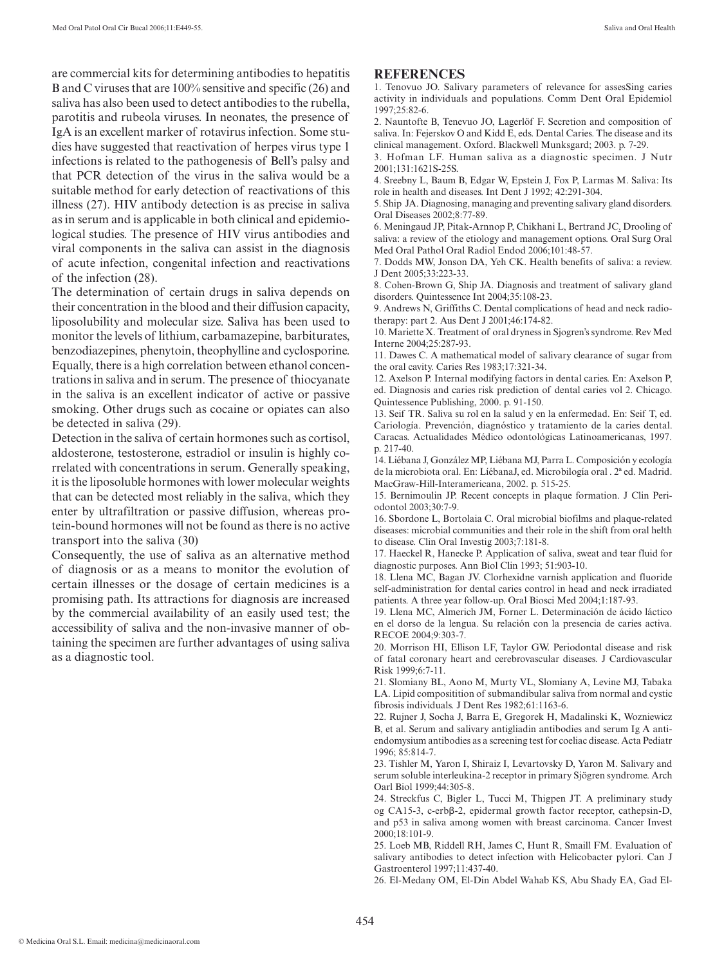are commercial kits for determining antibodies to hepatitis B and C viruses that are 100% sensitive and specific (26) and saliva has also been used to detect antibodies to the rubella, parotitis and rubeola viruses. In neonates, the presence of IgA is an excellent marker of rotavirus infection. Some studies have suggested that reactivation of herpes virus type 1 infections is related to the pathogenesis of Bell's palsy and that PCR detection of the virus in the saliva would be a suitable method for early detection of reactivations of this illness (27). HIV antibody detection is as precise in saliva as in serum and is applicable in both clinical and epidemiological studies. The presence of HIV virus antibodies and viral components in the saliva can assist in the diagnosis of acute infection, congenital infection and reactivations of the infection (28).

The determination of certain drugs in saliva depends on their concentration in the blood and their diffusion capacity, liposolubility and molecular size. Saliva has been used to monitor the levels of lithium, carbamazepine, barbiturates, benzodiazepines, phenytoin, theophylline and cyclosporine. Equally, there is a high correlation between ethanol concentrations in saliva and in serum. The presence of thiocyanate in the saliva is an excellent indicator of active or passive smoking. Other drugs such as cocaine or opiates can also be detected in saliva (29).

Detection in the saliva of certain hormones such as cortisol, aldosterone, testosterone, estradiol or insulin is highly correlated with concentrations in serum. Generally speaking, it is the liposoluble hormones with lower molecular weights that can be detected most reliably in the saliva, which they enter by ultrafiltration or passive diffusion, whereas protein-bound hormones will not be found as there is no active transport into the saliva (30)

Consequently, the use of saliva as an alternative method of diagnosis or as a means to monitor the evolution of certain illnesses or the dosage of certain medicines is a promising path. Its attractions for diagnosis are increased by the commercial availability of an easily used test; the accessibility of saliva and the non-invasive manner of obtaining the specimen are further advantages of using saliva as a diagnostic tool.

#### **REFERENCES**

1. Tenovuo JO. Salivary parameters of relevance for assesSing caries activity in individuals and populations. Comm Dent Oral Epidemiol 1997;25:82-6.

2. Nauntofte B, Tenevuo JO, Lagerlöf F. Secretion and composition of saliva. In: Fejerskov O and Kidd E, eds. Dental Caries. The disease and its clinical management. Oxford. Blackwell Munksgard; 2003. p. 7-29.

3. Hofman LF. Human saliva as a diagnostic specimen. J Nutr 2001;131:1621S-25S.

4. Sreebny L, Baum B, Edgar W, Epstein J, Fox P, Larmas M. Saliva: Its role in health and diseases. Int Dent J 1992; 42:291-304.

5. Ship JA. Diagnosing, managing and preventing salivary gland disorders. Oral Diseases 2002;8:77-89.

6. Meningaud JP, Pitak-Arnnop P, Chikhani L, Bertrand JC. Drooling of saliva: a review of the etiology and management options. Oral Surg Oral Med Oral Pathol Oral Radiol Endod 2006;101:48-57.

7. Dodds MW, Jonson DA, Yeh CK. Health benefits of saliva: a review. J Dent 2005;33:223-33.

8. Cohen-Brown G, Ship JA. Diagnosis and treatment of salivary gland disorders. Quintessence Int 2004;35:108-23.

9. Andrews N, Griffiths C. Dental complications of head and neck radiotherapy: part 2. Aus Dent J 2001;46:174-82.

10. Mariette X. Treatment of oral dryness in Sjogren's syndrome. Rev Med Interne 2004;25:287-93.

11. Dawes C. A mathematical model of salivary clearance of sugar from the oral cavity. Caries Res 1983;17:321-34.

12. Axelson P. Internal modifying factors in dental caries. En: Axelson P, ed. Diagnosis and caries risk prediction of dental caries vol 2. Chicago. Quintessence Publishing, 2000. p. 91-150.

13. Seif TR. Saliva su rol en la salud y en la enfermedad. En: Seif T, ed. Cariología. Prevención, diagnóstico y tratamiento de la caries dental. Caracas. Actualidades Médico odontológicas Latinoamericanas, 1997. p. 217-40.

14. Liébana J, González MP, Liébana MJ, Parra L. Composición y ecología de la microbiota oral. En: LíébanaJ, ed. Microbilogía oral . 2ª ed. Madrid. MacGraw-Hill-Interamericana, 2002. p. 515-25.

15. Bernimoulin JP. Recent concepts in plaque formation. J Clin Periodontol 2003;30:7-9.

16. Sbordone L, Bortolaia C. Oral microbial biofilms and plaque-related diseases: microbial communities and their role in the shift from oral helth to disease. Clin Oral Investig 2003;7:181-8.

17. Haeckel R, Hanecke P. Application of saliva, sweat and tear fluid for diagnostic purposes. Ann Biol Clin 1993; 51:903-10.

18. Llena MC, Bagan JV. Clorhexidne varnish application and fluoride self-administration for dental caries control in head and neck irradiated patients. A three year follow-up. Oral Biosci Med 2004;1:187-93.

19. Llena MC, Almerich JM, Forner L. Determinación de ácido láctico en el dorso de la lengua. Su relación con la presencia de caries activa. RECOE 2004;9:303-7.

20. Morrison HI, Ellison LF, Taylor GW. Periodontal disease and risk of fatal coronary heart and cerebrovascular diseases. J Cardiovascular Risk 1999;6:7-11.

21. Slomiany BL, Aono M, Murty VL, Slomiany A, Levine MJ, Tabaka LA. Lipid compositition of submandibular saliva from normal and cystic fibrosis individuals. J Dent Res 1982;61:1163-6.

22. Rujner J, Socha J, Barra E, Gregorek H, Madalinski K, Wozniewicz B, et al. Serum and salivary antigliadin antibodies and serum Ig A antiendomysium antibodies as a screening test for coeliac disease. Acta Pediatr 1996; 85:814-7.

23. Tishler M, Yaron I, Shiraiz I, Levartovsky D, Yaron M. Salivary and serum soluble interleukina-2 receptor in primary Sjögren syndrome. Arch Oarl Biol 1999;44:305-8.

24. Streckfus C, Bigler L, Tucci M, Thigpen JT. A preliminary study og CA15-3, c-erbβ-2, epidermal growth factor receptor, cathepsin-D, and p53 in saliva among women with breast carcinoma. Cancer Invest  $2000 \cdot 18 \cdot 101 - 9$ 

25. Loeb MB, Riddell RH, James C, Hunt R, Smaill FM. Evaluation of salivary antibodies to detect infection with Helicobacter pylori. Can J Gastroenterol 1997;11:437-40.

26. El-Medany OM, El-Din Abdel Wahab KS, Abu Shady EA, Gad El-